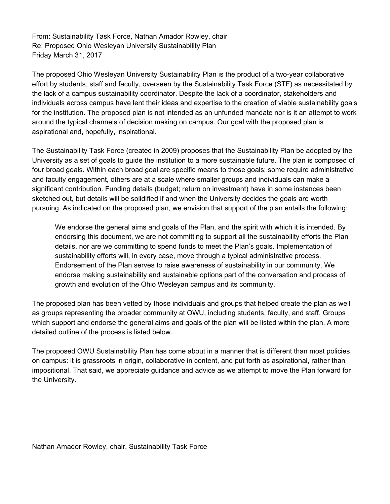From: Sustainability Task Force, Nathan Amador Rowley, chair Re: Proposed Ohio Wesleyan University Sustainability Plan Friday March 31, 2017

The proposed Ohio Wesleyan University Sustainability Plan is the product of a two-year collaborative effort by students, staff and faculty, overseen by the Sustainability Task Force (STF) as necessitated by the lack of a campus sustainability coordinator. Despite the lack of a coordinator, stakeholders and individuals across campus have lent their ideas and expertise to the creation of viable sustainability goals for the institution. The proposed plan is not intended as an unfunded mandate nor is it an attempt to work around the typical channels of decision making on campus. Our goal with the proposed plan is aspirational and, hopefully, inspirational.

The Sustainability Task Force (created in 2009) proposes that the Sustainability Plan be adopted by the University as a set of goals to guide the institution to a more sustainable future. The plan is composed of four broad goals. Within each broad goal are specific means to those goals: some require administrative and faculty engagement, others are at a scale where smaller groups and individuals can make a significant contribution. Funding details (budget; return on investment) have in some instances been sketched out, but details will be solidified if and when the University decides the goals are worth pursuing. As indicated on the proposed plan, we envision that support of the plan entails the following:

We endorse the general aims and goals of the Plan, and the spirit with which it is intended. By endorsing this document, we are not committing to support all the sustainability efforts the Plan details, nor are we committing to spend funds to meet the Plan's goals. Implementation of sustainability efforts will, in every case, move through a typical administrative process. Endorsement of the Plan serves to raise awareness of sustainability in our community. We endorse making sustainability and sustainable options part of the conversation and process of growth and evolution of the Ohio Wesleyan campus and its community.

The proposed plan has been vetted by those individuals and groups that helped create the plan as well as groups representing the broader community at OWU, including students, faculty, and staff. Groups which support and endorse the general aims and goals of the plan will be listed within the plan. A more detailed outline of the process is listed below.

The proposed OWU Sustainability Plan has come about in a manner that is different than most policies on campus: it is grassroots in origin, collaborative in content, and put forth as aspirational, rather than impositional. That said, we appreciate guidance and advice as we attempt to move the Plan forward for the University.

Nathan Amador Rowley, chair, Sustainability Task Force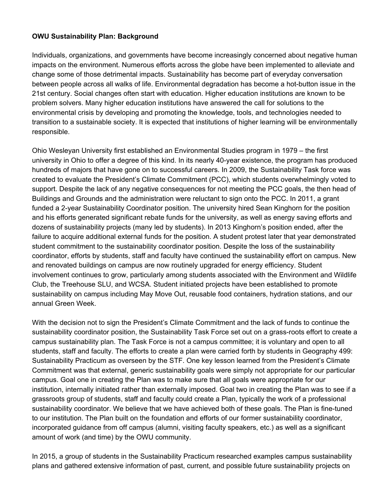## **OWU Sustainability Plan: Background**

Individuals, organizations, and governments have become increasingly concerned about negative human impacts on the environment. Numerous efforts across the globe have been implemented to alleviate and change some of those detrimental impacts. Sustainability has become part of everyday conversation between people across all walks of life. Environmental degradation has become a hot-button issue in the 21st century. Social changes often start with education. Higher education institutions are known to be problem solvers. Many higher education institutions have answered the call for solutions to the environmental crisis by developing and promoting the knowledge, tools, and technologies needed to transition to a sustainable society. It is expected that institutions of higher learning will be environmentally responsible.

Ohio Wesleyan University first established an Environmental Studies program in 1979 – the first university in Ohio to offer a degree of this kind. In its nearly 40-year existence, the program has produced hundreds of majors that have gone on to successful careers. In 2009, the Sustainability Task force was created to evaluate the President's Climate Commitment (PCC), which students overwhelmingly voted to support. Despite the lack of any negative consequences for not meeting the PCC goals, the then head of Buildings and Grounds and the administration were reluctant to sign onto the PCC. In 2011, a grant funded a 2-year Sustainability Coordinator position. The university hired Sean Kinghorn for the position and his efforts generated significant rebate funds for the university, as well as energy saving efforts and dozens of sustainability projects (many led by students). In 2013 Kinghorn's position ended, after the failure to acquire additional external funds for the position. A student protest later that year demonstrated student commitment to the sustainability coordinator position. Despite the loss of the sustainability coordinator, efforts by students, staff and faculty have continued the sustainability effort on campus. New and renovated buildings on campus are now routinely upgraded for energy efficiency. Student involvement continues to grow, particularly among students associated with the Environment and Wildlife Club, the Treehouse SLU, and WCSA. Student initiated projects have been established to promote sustainability on campus including May Move Out, reusable food containers, hydration stations, and our annual Green Week.

With the decision not to sign the President's Climate Commitment and the lack of funds to continue the sustainability coordinator position, the Sustainability Task Force set out on a grass-roots effort to create a campus sustainability plan. The Task Force is not a campus committee; it is voluntary and open to all students, staff and faculty. The efforts to create a plan were carried forth by students in Geography 499: Sustainability Practicum as overseen by the STF. One key lesson learned from the President's Climate Commitment was that external, generic sustainability goals were simply not appropriate for our particular campus. Goal one in creating the Plan was to make sure that all goals were appropriate for our institution, internally initiated rather than externally imposed. Goal two in creating the Plan was to see if a grassroots group of students, staff and faculty could create a Plan, typically the work of a professional sustainability coordinator. We believe that we have achieved both of these goals. The Plan is fine-tuned to our institution. The Plan built on the foundation and efforts of our former sustainability coordinator, incorporated guidance from off campus (alumni, visiting faculty speakers, etc.) as well as a significant amount of work (and time) by the OWU community.

In 2015, a group of students in the Sustainability Practicum researched examples campus sustainability plans and gathered extensive information of past, current, and possible future sustainability projects on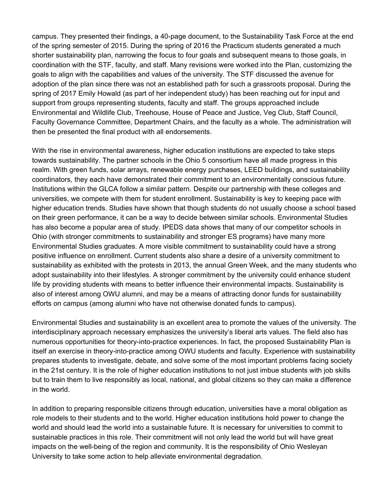campus. They presented their findings, a 40-page document, to the Sustainability Task Force at the end of the spring semester of 2015. During the spring of 2016 the Practicum students generated a much shorter sustainability plan, narrowing the focus to four goals and subsequent means to those goals, in coordination with the STF, faculty, and staff. Many revisions were worked into the Plan, customizing the goals to align with the capabilities and values of the university. The STF discussed the avenue for adoption of the plan since there was not an established path for such a grassroots proposal. During the spring of 2017 Emily Howald (as part of her independent study) has been reaching out for input and support from groups representing students, faculty and staff. The groups approached include Environmental and Wildlife Club, Treehouse, House of Peace and Justice, Veg Club, Staff Council, Faculty Governance Committee, Department Chairs, and the faculty as a whole. The administration will then be presented the final product with all endorsements.

With the rise in environmental awareness, higher education institutions are expected to take steps towards sustainability. The partner schools in the Ohio 5 consortium have all made progress in this realm. With green funds, solar arrays, renewable energy purchases, LEED buildings, and sustainability coordinators, they each have demonstrated their commitment to an environmentally conscious future. Institutions within the GLCA follow a similar pattern. Despite our partnership with these colleges and universities, we compete with them for student enrollment. Sustainability is key to keeping pace with higher education trends. Studies have shown that though students do not usually choose a school based on their green performance, it can be a way to decide between similar schools. Environmental Studies has also become a popular area of study. IPEDS data shows that many of our competitor schools in Ohio (with stronger commitments to sustainability and stronger ES programs) have many more Environmental Studies graduates. A more visible commitment to sustainability could have a strong positive influence on enrollment. Current students also share a desire of a university commitment to sustainability as exhibited with the protests in 2013, the annual Green Week, and the many students who adopt sustainability into their lifestyles. A stronger commitment by the university could enhance student life by providing students with means to better influence their environmental impacts. Sustainability is also of interest among OWU alumni, and may be a means of attracting donor funds for sustainability efforts on campus (among alumni who have not otherwise donated funds to campus).

Environmental Studies and sustainability is an excellent area to promote the values of the university. The interdisciplinary approach necessary emphasizes the university's liberal arts values. The field also has numerous opportunities for theory-into-practice experiences. In fact, the proposed Sustainability Plan is itself an exercise in theory-into-practice among OWU students and faculty. Experience with sustainability prepares students to investigate, debate, and solve some of the most important problems facing society in the 21st century. It is the role of higher education institutions to not just imbue students with job skills but to train them to live responsibly as local, national, and global citizens so they can make a difference in the world.

In addition to preparing responsible citizens through education, universities have a moral obligation as role models to their students and to the world. Higher education institutions hold power to change the world and should lead the world into a sustainable future. It is necessary for universities to commit to sustainable practices in this role. Their commitment will not only lead the world but will have great impacts on the well-being of the region and community. It is the responsibility of Ohio Wesleyan University to take some action to help alleviate environmental degradation.